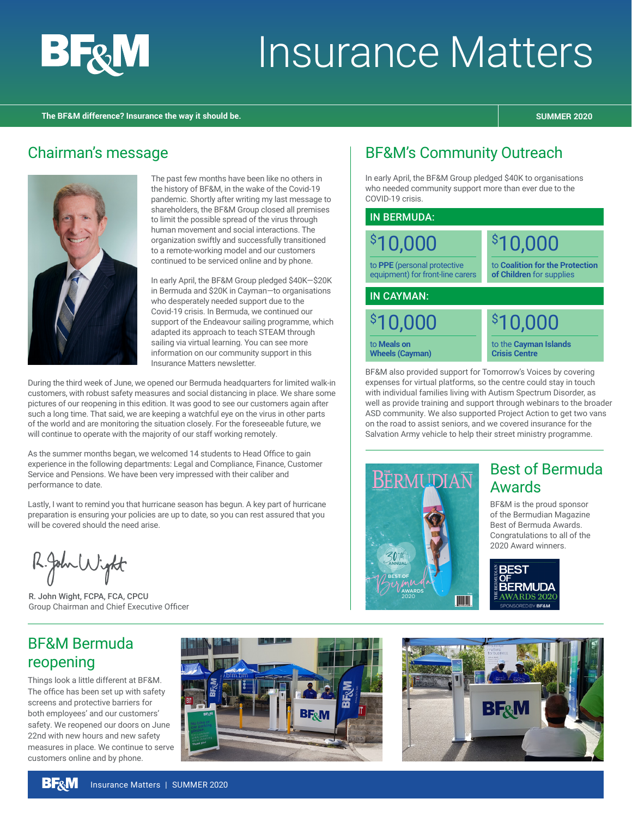

# Insurance Matters

#### **The BF&M difference? Insurance the way it should be. SUMMER 2020**

## Chairman's message



The past few months have been like no others in the history of BF&M, in the wake of the Covid-19 pandemic. Shortly after writing my last message to shareholders, the BF&M Group closed all premises to limit the possible spread of the virus through human movement and social interactions. The organization swiftly and successfully transitioned to a remote-working model and our customers continued to be serviced online and by phone.

In early April, the BF&M Group pledged \$40K—\$20K in Bermuda and \$20K in Cayman—to organisations who desperately needed support due to the Covid-19 crisis. In Bermuda, we continued our support of the Endeavour sailing programme, which adapted its approach to teach STEAM through sailing via virtual learning. You can see more information on our community support in this Insurance Matters newsletter.

During the third week of June, we opened our Bermuda headquarters for limited walk-in customers, with robust safety measures and social distancing in place. We share some pictures of our reopening in this edition. It was good to see our customers again after such a long time. That said, we are keeping a watchful eye on the virus in other parts of the world and are monitoring the situation closely. For the foreseeable future, we will continue to operate with the majority of our staff working remotely.

As the summer months began, we welcomed 14 students to Head Office to gain experience in the following departments: Legal and Compliance, Finance, Customer Service and Pensions. We have been very impressed with their caliber and performance to date.

Lastly, I want to remind you that hurricane season has begun. A key part of hurricane preparation is ensuring your policies are up to date, so you can rest assured that you will be covered should the need arise.

R.John Wight

R. John Wight, FCPA, FCA, CPCU Group Chairman and Chief Executive Officer

## BF&M Bermuda reopening

Things look a little different at BF&M. The office has been set up with safety screens and protective barriers for both employees' and our customers' safety. We reopened our doors on June 22nd with new hours and new safety measures in place. We continue to serve customers online and by phone.



## BF&M's Community Outreach

In early April, the BF&M Group pledged \$40K to organisations who needed community support more than ever due to the COVID-19 crisis.

#### IN BERMUDA:

\$ 10,000 to **PPE** (personal protective equipment) for front-line carers \$ 10,000 to **Coalition for the Protection of Children** for supplies

IN CAYMAN:

\$ 10,000 to **Meals on Wheels (Cayman)**

\$ 10,000

to the **Cayman Islands Crisis Centre**

BF&M also provided support for Tomorrow's Voices by covering expenses for virtual platforms, so the centre could stay in touch with individual families living with Autism Spectrum Disorder, as well as provide training and support through webinars to the broader ASD community. We also supported Project Action to get two vans on the road to assist seniors, and we covered insurance for the Salvation Army vehicle to help their street ministry programme.



## Best of Bermuda Awards

BF&M is the proud sponsor of the Bermudian Magazine Best of Bermuda Awards. Congratulations to all of the 2020 Award winners.